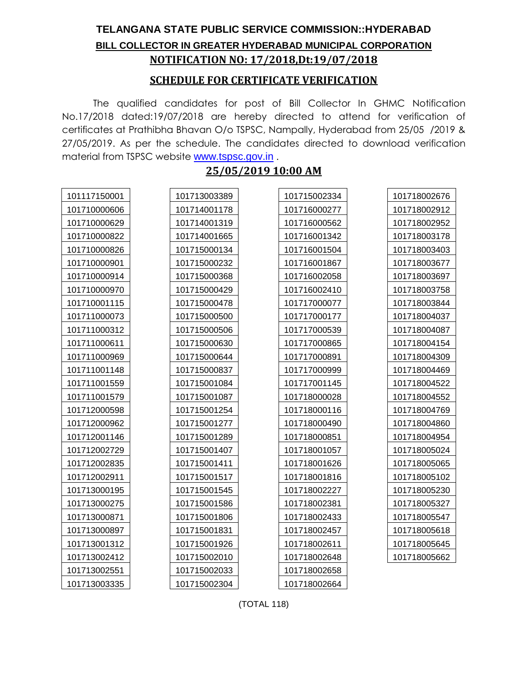## **TELANGANA STATE PUBLIC SERVICE COMMISSION::HYDERABAD BILL COLLECTOR IN GREATER HYDERABAD MUNICIPAL CORPORATION NOTIFICATION NO: 17/2018,Dt:19/07/2018**

#### **SCHEDULE FOR CERTIFICATE VERIFICATION**

The qualified candidates for post of Bill Collector In GHMC Notification No.17/2018 dated:19/07/2018 are hereby directed to attend for verification of certificates at Prathibha Bhavan O/o TSPSC, Nampally, Hyderabad from 25/05 /2019 & 27/05/2019. As per the schedule. The candidates directed to download verification material from TSPSC website [www.tspsc.gov.in](http://www.tspsc.gov.in/).

### **25/05/2019 10:00 AM**

| 101117150001 | 101713003389 | 101715002334 | 101718002676 |
|--------------|--------------|--------------|--------------|
| 101710000606 | 101714001178 | 101716000277 | 101718002912 |
| 101710000629 | 101714001319 | 101716000562 | 101718002952 |
| 101710000822 | 101714001665 | 101716001342 | 101718003178 |
| 101710000826 | 101715000134 | 101716001504 | 101718003403 |
| 101710000901 | 101715000232 | 101716001867 | 101718003677 |
| 101710000914 | 101715000368 | 101716002058 | 101718003697 |
| 101710000970 | 101715000429 | 101716002410 | 101718003758 |
| 101710001115 | 101715000478 | 101717000077 | 101718003844 |
| 101711000073 | 101715000500 | 101717000177 | 101718004037 |
| 101711000312 | 101715000506 | 101717000539 | 101718004087 |
| 101711000611 | 101715000630 | 101717000865 | 101718004154 |
| 101711000969 | 101715000644 | 101717000891 | 101718004309 |
| 101711001148 | 101715000837 | 101717000999 | 101718004469 |
| 101711001559 | 101715001084 | 101717001145 | 101718004522 |
| 101711001579 | 101715001087 | 101718000028 | 101718004552 |
| 101712000598 | 101715001254 | 101718000116 | 101718004769 |
| 101712000962 | 101715001277 | 101718000490 | 101718004860 |
| 101712001146 | 101715001289 | 101718000851 | 101718004954 |
| 101712002729 | 101715001407 | 101718001057 | 101718005024 |
| 101712002835 | 101715001411 | 101718001626 | 101718005065 |
| 101712002911 | 101715001517 | 101718001816 | 101718005102 |
| 101713000195 | 101715001545 | 101718002227 | 101718005230 |
| 101713000275 | 101715001586 | 101718002381 | 101718005327 |
| 101713000871 | 101715001806 | 101718002433 | 101718005547 |
| 101713000897 | 101715001831 | 101718002457 | 101718005618 |
| 101713001312 | 101715001926 | 101718002611 | 101718005645 |
| 101713002412 | 101715002010 | 101718002648 | 101718005662 |
| 101713002551 | 101715002033 | 101718002658 |              |
| 101713003335 | 101715002304 | 101718002664 |              |

(TOTAL 118)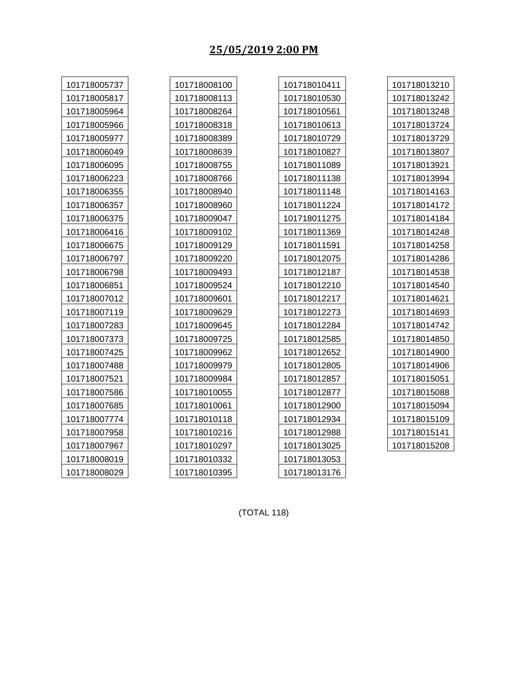### **25/05/2019 2:00 PM**

| 101718005737 | 101718008100 | 101718010411 | 101718013210 |
|--------------|--------------|--------------|--------------|
| 101718005817 | 101718008113 | 101718010530 | 101718013242 |
| 101718005964 | 101718008264 | 101718010561 | 101718013248 |
| 101718005966 | 101718008318 | 101718010613 | 101718013724 |
| 101718005977 | 101718008389 | 101718010729 | 101718013729 |
| 101718006049 | 101718008639 | 101718010827 | 101718013807 |
| 101718006095 | 101718008755 | 101718011089 | 101718013921 |
| 101718006223 | 101718008766 | 101718011138 | 101718013994 |
| 101718006355 | 101718008940 | 101718011148 | 101718014163 |
| 101718006357 | 101718008960 | 101718011224 | 101718014172 |
| 101718006375 | 101718009047 | 101718011275 | 101718014184 |
| 101718006416 | 101718009102 | 101718011369 | 101718014248 |
| 101718006675 | 101718009129 | 101718011591 | 101718014258 |
| 101718006797 | 101718009220 | 101718012075 | 101718014286 |
| 101718006798 | 101718009493 | 101718012187 | 101718014538 |
| 101718006851 | 101718009524 | 101718012210 | 101718014540 |
| 101718007012 | 101718009601 | 101718012217 | 101718014621 |
| 101718007119 | 101718009629 | 101718012273 | 101718014693 |
| 101718007283 | 101718009645 | 101718012284 | 101718014742 |
| 101718007373 | 101718009725 | 101718012585 | 101718014850 |
| 101718007425 | 101718009962 | 101718012652 | 101718014900 |
| 101718007488 | 101718009979 | 101718012805 | 101718014906 |
| 101718007521 | 101718009984 | 101718012857 | 101718015051 |
| 101718007586 | 101718010055 | 101718012877 | 101718015088 |
| 101718007685 | 101718010061 | 101718012900 | 101718015094 |
| 101718007774 | 101718010118 | 101718012934 | 101718015109 |
| 101718007958 | 101718010216 | 101718012988 | 101718015141 |
| 101718007967 | 101718010297 | 101718013025 | 101718015208 |
| 101718008019 | 101718010332 | 101718013053 |              |
| 101718008029 | 101718010395 | 101718013176 |              |

(TOTAL 118)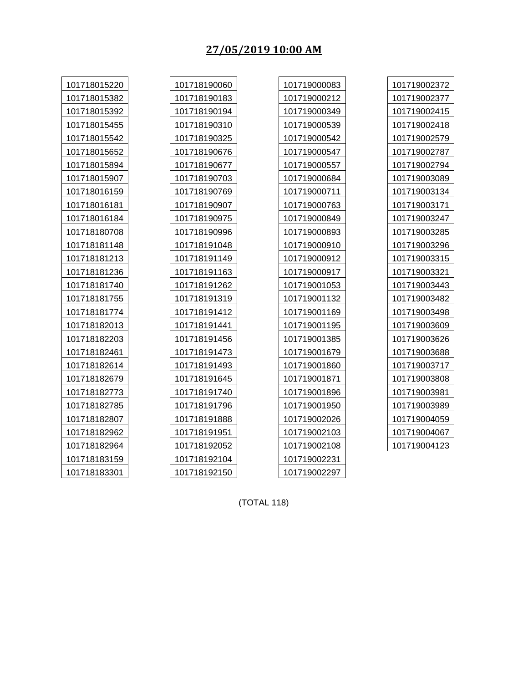# **27/05/2019 10:00 AM**

| 101718015220 | 101718190060 | 101719000083 | 101719002372 |
|--------------|--------------|--------------|--------------|
| 101718015382 | 101718190183 | 101719000212 | 101719002377 |
| 101718015392 | 101718190194 | 101719000349 | 101719002415 |
| 101718015455 | 101718190310 | 101719000539 | 101719002418 |
| 101718015542 | 101718190325 | 101719000542 | 101719002579 |
| 101718015652 | 101718190676 | 101719000547 | 101719002787 |
| 101718015894 | 101718190677 | 101719000557 | 101719002794 |
| 101718015907 | 101718190703 | 101719000684 | 101719003089 |
| 101718016159 | 101718190769 | 101719000711 | 101719003134 |
| 101718016181 | 101718190907 | 101719000763 | 101719003171 |
| 101718016184 | 101718190975 | 101719000849 | 101719003247 |
| 101718180708 | 101718190996 | 101719000893 | 101719003285 |
| 101718181148 | 101718191048 | 101719000910 | 101719003296 |
| 101718181213 | 101718191149 | 101719000912 | 101719003315 |
| 101718181236 | 101718191163 | 101719000917 | 101719003321 |
| 101718181740 | 101718191262 | 101719001053 | 101719003443 |
| 101718181755 | 101718191319 | 101719001132 | 101719003482 |
| 101718181774 | 101718191412 | 101719001169 | 101719003498 |
| 101718182013 | 101718191441 | 101719001195 | 101719003609 |
| 101718182203 | 101718191456 | 101719001385 | 101719003626 |
| 101718182461 | 101718191473 | 101719001679 | 101719003688 |
| 101718182614 | 101718191493 | 101719001860 | 101719003717 |
| 101718182679 | 101718191645 | 101719001871 | 101719003808 |
| 101718182773 | 101718191740 | 101719001896 | 101719003981 |
| 101718182785 | 101718191796 | 101719001950 | 101719003989 |
| 101718182807 | 101718191888 | 101719002026 | 101719004059 |
| 101718182962 | 101718191951 | 101719002103 | 101719004067 |
| 101718182964 | 101718192052 | 101719002108 | 101719004123 |
| 101718183159 | 101718192104 | 101719002231 |              |
| 101718183301 | 101718192150 | 101719002297 |              |

(TOTAL 118)